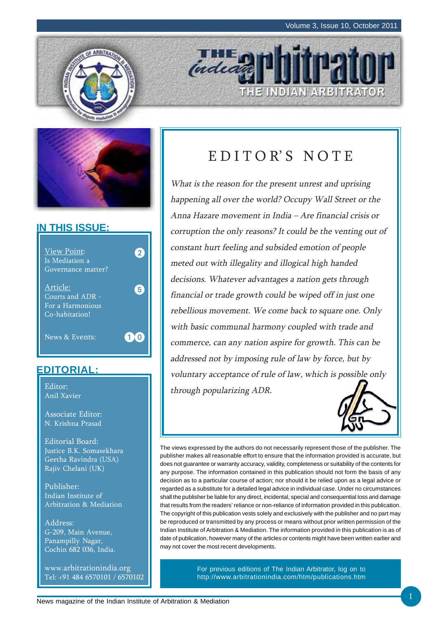THE INDIAN ARBITRATOR





### **IN THIS ISSUE:**



### **EDITORIAL:**

Anil Xavier

Associate Editor: N. Krishna Prasad

Editorial Board: Justice B.K. Somasekhara Geetha Ravindra (USA) Rajiv Chelani (UK)

Publisher: Indian Institute of Arbitration & Mediation

Address: G-209, Main Avenue, Panampilly Nagar, Cochin 682 036, India.

www.arbitrationindia.org Tel: +91 484 6570101 / 6570102

## EDITOR'S NOTE

*IHE* 

What is the reason for the present unrest and uprising happening all over the world? Occupy Wall Street or the Anna Hazare movement in India – Are financial crisis or corruption the only reasons? It could be the venting out of constant hurt feeling and subsided emotion of people meted out with illegality and illogical high handed decisions. Whatever advantages a nation gets through financial or trade growth could be wiped off in just one rebellious movement. We come back to square one. Only with basic communal harmony coupled with trade and commerce, can any nation aspire for growth. This can be addressed not by imposing rule of law by force, but by voluntary acceptance of rule of law, which is possible only Editor:  $\parallel$  through popularizing ADR.



The views expressed by the authors do not necessarily represent those of the publisher. The publisher makes all reasonable effort to ensure that the information provided is accurate, but does not guarantee or warranty accuracy, validity, completeness or suitability of the contents for any purpose. The information contained in this publication should not form the basis of any decision as to a particular course of action; nor should it be relied upon as a legal advice or regarded as a substitute for a detailed legal advice in individual case. Under no circumstances shall the publisher be liable for any direct, incidental, special and consequential loss and damage that results from the readers' reliance or non-reliance of information provided in this publication. The copyright of this publication vests solely and exclusively with the publisher and no part may be reproduced or transmitted by any process or means without prior written permission of the Indian Institute of Arbitration & Mediation. The information provided in this publication is as of date of publication, however many of the articles or contents might have been written earlier and may not cover the most recent developments.

> For previous editions of The Indian Arbitrator, log on to http://www.arbitrationindia.com/htm/publications.htm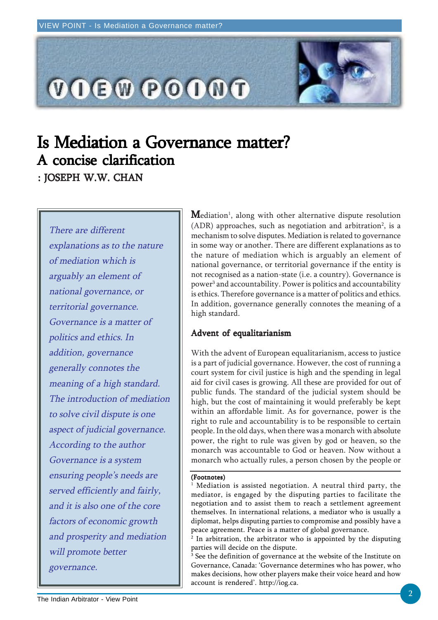

# Is Mediation a Governance matter? A concise clarification A concise clarification

: JOSEPH W.W. CHAN

There are different explanations as to the nature of mediation which is arguably an element of national governance, or territorial governance. Governance is a matter of politics and ethics. In addition, governance generally connotes the meaning of a high standard. The introduction of mediation to solve civil dispute is one aspect of judicial governance. According to the author Governance is a system ensuring people's needs are served efficiently and fairly, and it is also one of the core factors of economic growth and prosperity and mediation will promote better governance.

 $\mathbf M$ ediation $^{\scriptscriptstyle 1}$ , along with other alternative dispute resolution  $(ADR)$  approaches, such as negotiation and arbitration<sup>2</sup>, is a mechanism to solve disputes. Mediation is related to governance in some way or another. There are different explanations as to the nature of mediation which is arguably an element of national governance, or territorial governance if the entity is not recognised as a nation-state (i.e. a country). Governance is power<sup>3</sup> and accountability. Power is politics and accountability is ethics. Therefore governance is a matter of politics and ethics. In addition, governance generally connotes the meaning of a high standard.

### Advent of equalitarianism

With the advent of European equalitarianism, access to justice is a part of judicial governance. However, the cost of running a court system for civil justice is high and the spending in legal aid for civil cases is growing. All these are provided for out of public funds. The standard of the judicial system should be high, but the cost of maintaining it would preferably be kept within an affordable limit. As for governance, power is the right to rule and accountability is to be responsible to certain people. In the old days, when there was a monarch with absolute power, the right to rule was given by god or heaven, so the monarch was accountable to God or heaven. Now without a monarch who actually rules, a person chosen by the people or

#### (Footnotes)

1 Mediation is assisted negotiation. A neutral third party, the mediator, is engaged by the disputing parties to facilitate the negotiation and to assist them to reach a settlement agreement themselves. In international relations, a mediator who is usually a diplomat, helps disputing parties to compromise and possibly have a peace agreement. Peace is a matter of global governance.

 $^2$  In arbitration, the arbitrator who is appointed by the disputing parties will decide on the dispute.

 $\rm ^3$  See the definition of governance at the website of the Institute on Governance, Canada: 'Governance determines who has power, who makes decisions, how other players make their voice heard and how account is rendered'. http://iog.ca.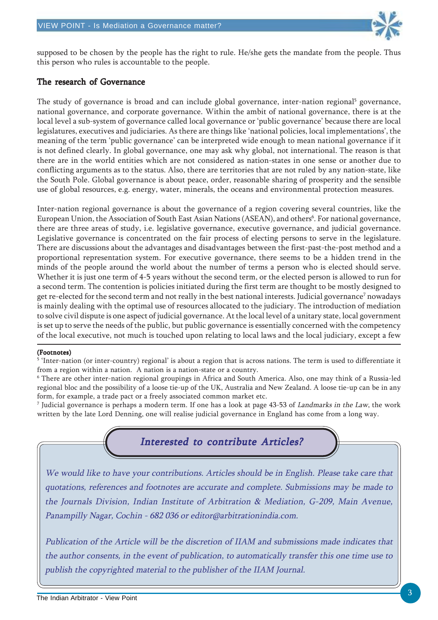

supposed to be chosen by the people has the right to rule. He/she gets the mandate from the people. Thus this person who rules is accountable to the people.

### The research of Governance

The study of governance is broad and can include global governance, inter-nation regional<sup>5</sup> governance, national governance, and corporate governance. Within the ambit of national governance, there is at the local level a sub-system of governance called local governance or 'public governance' because there are local legislatures, executives and judiciaries. As there are things like 'national policies, local implementations', the meaning of the term 'public governance' can be interpreted wide enough to mean national governance if it is not defined clearly. In global governance, one may ask why global, not international. The reason is that there are in the world entities which are not considered as nation-states in one sense or another due to conflicting arguments as to the status. Also, there are territories that are not ruled by any nation-state, like the South Pole. Global governance is about peace, order, reasonable sharing of prosperity and the sensible use of global resources, e.g. energy, water, minerals, the oceans and environmental protection measures.

Inter-nation regional governance is about the governance of a region covering several countries, like the European Union, the Association of South East Asian Nations (ASEAN), and others<sup>6</sup>. For national governance, there are three areas of study, i.e. legislative governance, executive governance, and judicial governance. Legislative governance is concentrated on the fair process of electing persons to serve in the legislature. There are discussions about the advantages and disadvantages between the first-past-the-post method and a proportional representation system. For executive governance, there seems to be a hidden trend in the minds of the people around the world about the number of terms a person who is elected should serve. Whether it is just one term of 4-5 years without the second term, or the elected person is allowed to run for a second term. The contention is policies initiated during the first term are thought to be mostly designed to get re-elected for the second term and not really in the best national interests. Judicial governance<sup>7</sup> nowadays is mainly dealing with the optimal use of resources allocated to the judiciary. The introduction of mediation to solve civil dispute is one aspect of judicial governance. At the local level of a unitary state, local government is set up to serve the needs of the public, but public governance is essentially concerned with the competency of the local executive, not much is touched upon relating to local laws and the local judiciary, except a few

#### (Footnotes)

5 'Inter-nation (or inter-country) regional' is about a region that is across nations. The term is used to differentiate it from a region within a nation. A nation is a nation-state or a country.

6 There are other inter-nation regional groupings in Africa and South America. Also, one may think of a Russia-led regional bloc and the possibility of a loose tie-up of the UK, Australia and New Zealand. A loose tie-up can be in any form, for example, a trade pact or a freely associated common market etc.

<sup>7</sup> Judicial governance is perhaps a modern term. If one has a look at page 43-53 of *Landmarks in the Law*, the work written by the late Lord Denning, one will realise judicial governance in England has come from a long way.



We would like to have your contributions. Articles should be in English. Please take care that quotations, references and footnotes are accurate and complete. Submissions may be made to the Journals Division, Indian Institute of Arbitration & Mediation, G-209, Main Avenue, Panampilly Nagar, Cochin - 682 036 or editor@arbitrationindia.com.

Publication of the Article will be the discretion of IIAM and submissions made indicates that the author consents, in the event of publication, to automatically transfer this one time use to publish the copyrighted material to the publisher of the IIAM Journal.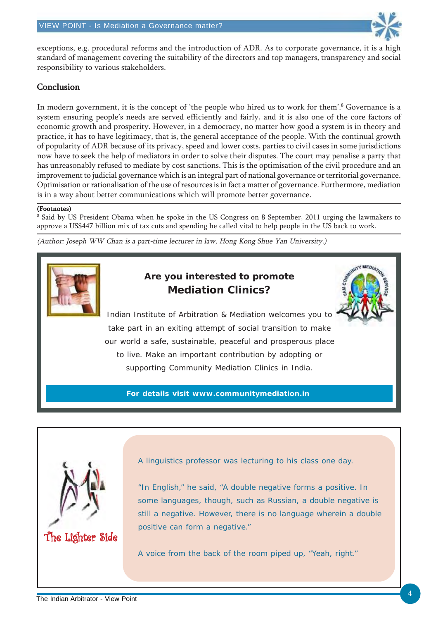

JNITY MEDIATE

exceptions, e.g. procedural reforms and the introduction of ADR. As to corporate governance, it is a high standard of management covering the suitability of the directors and top managers, transparency and social responsibility to various stakeholders.

#### Conclusion

In modern government, it is the concept of 'the people who hired us to work for them'.<sup>8</sup> Governance is a system ensuring people's needs are served efficiently and fairly, and it is also one of the core factors of economic growth and prosperity. However, in a democracy, no matter how good a system is in theory and practice, it has to have legitimacy, that is, the general acceptance of the people. With the continual growth of popularity of ADR because of its privacy, speed and lower costs, parties to civil cases in some jurisdictions now have to seek the help of mediators in order to solve their disputes. The court may penalise a party that has unreasonably refused to mediate by cost sanctions. This is the optimisation of the civil procedure and an improvement to judicial governance which is an integral part of national governance or territorial governance. Optimisation or rationalisation of the use of resources is in fact a matter of governance. Furthermore, mediation is in a way about better communications which will promote better governance.

#### (Footnotes)

8 Said by US President Obama when he spoke in the US Congress on 8 September, 2011 urging the lawmakers to approve a US\$447 billion mix of tax cuts and spending he called vital to help people in the US back to work.

(Author: Joseph WW Chan is a part-time lecturer in law, Hong Kong Shue Yan University.)



### **Are you interested to promote Mediation Clinics?**

Indian Institute of Arbitration & Mediation welcomes you to take part in an exiting attempt of social transition to make our world a safe, sustainable, peaceful and prosperous place to live. Make an important contribution by adopting or supporting Community Mediation Clinics in India.

**For details visit www.communitymediation.in**



A linguistics professor was lecturing to his class one day.

"In English," he said, "A double negative forms a positive. In some languages, though, such as Russian, a double negative is still a negative. However, there is no language wherein a double positive can form a negative."

A voice from the back of the room piped up, "Yeah, right."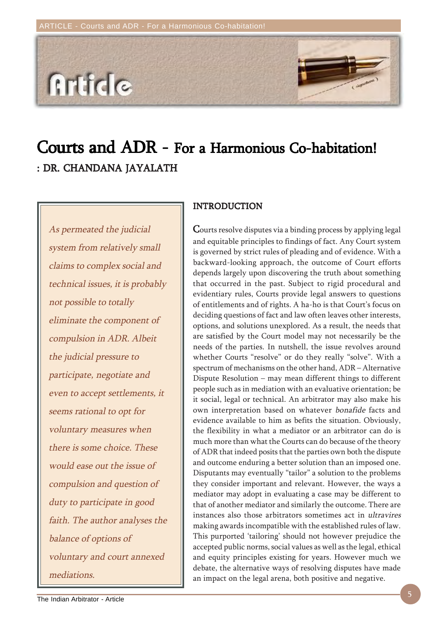

## Courts and ADR - For a Harmonious Co-habitation! : DR. CHANDANA JAYALATH

As permeated the judicial system from relatively small claims to complex social and technical issues, it is probably not possible to totally eliminate the component of compulsion in ADR. Albeit the judicial pressure to participate, negotiate and even to accept settlements, it seems rational to opt for voluntary measures when there is some choice. These would ease out the issue of compulsion and question of duty to participate in good faith. The author analyses the balance of options of voluntary and court annexed mediations.

#### INTRODUCTION

Courts resolve disputes via a binding process by applying legal and equitable principles to findings of fact. Any Court system is governed by strict rules of pleading and of evidence. With a backward-looking approach, the outcome of Court efforts depends largely upon discovering the truth about something that occurred in the past. Subject to rigid procedural and evidentiary rules, Courts provide legal answers to questions of entitlements and of rights. A ha-ho is that Court's focus on deciding questions of fact and law often leaves other interests, options, and solutions unexplored. As a result, the needs that are satisfied by the Court model may not necessarily be the needs of the parties. In nutshell, the issue revolves around whether Courts "resolve" or do they really "solve". With a spectrum of mechanisms on the other hand, ADR – Alternative Dispute Resolution – may mean different things to different people such as in mediation with an evaluative orientation; be it social, legal or technical. An arbitrator may also make his own interpretation based on whatever bonafide facts and evidence available to him as befits the situation. Obviously, the flexibility in what a mediator or an arbitrator can do is much more than what the Courts can do because of the theory of ADR that indeed posits that the parties own both the dispute and outcome enduring a better solution than an imposed one. Disputants may eventually "tailor" a solution to the problems they consider important and relevant. However, the ways a mediator may adopt in evaluating a case may be different to that of another mediator and similarly the outcome. There are instances also those arbitrators sometimes act in ultravires making awards incompatible with the established rules of law. This purported 'tailoring' should not however prejudice the accepted public norms, social values as well as the legal, ethical and equity principles existing for years. However much we debate, the alternative ways of resolving disputes have made an impact on the legal arena, both positive and negative.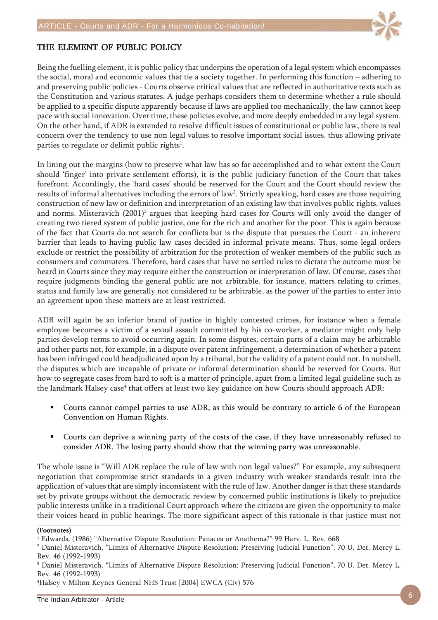

### THE ELEMENT OF PUBLIC POLICY

Being the fuelling element, it is public policy that underpins the operation of a legal system which encompasses the social, moral and economic values that tie a society together. In performing this function – adhering to and preserving public policies - Courts observe critical values that are reflected in authoritative texts such as the Constitution and various statutes. A judge perhaps considers them to determine whether a rule should be applied to a specific dispute apparently because if laws are applied too mechanically, the law cannot keep pace with social innovation. Over time, these policies evolve, and more deeply embedded in any legal system. On the other hand, if ADR is extended to resolve difficult issues of constitutional or public law, there is real concern over the tendency to use non legal values to resolve important social issues, thus allowing private parties to regulate or delimit public rights $^{\rm l}$ .

In lining out the margins (how to preserve what law has so far accomplished and to what extent the Court should 'finger' into private settlement efforts), it is the public judiciary function of the Court that takes forefront. Accordingly, the 'hard cases' should be reserved for the Court and the Court should review the results of informal alternatives including the errors of law<sup>2</sup>. Strictly speaking, hard cases are those requiring construction of new law or definition and interpretation of an existing law that involves public rights, values and norms. Misteravich  $(2001)^3$  argues that keeping hard cases for Courts will only avoid the danger of creating two tiered system of public justice, one for the rich and another for the poor. This is again because of the fact that Courts do not search for conflicts but is the dispute that pursues the Court - an inherent barrier that leads to having public law cases decided in informal private means. Thus, some legal orders exclude or restrict the possibility of arbitration for the protection of weaker members of the public such as consumers and commuters. Therefore, hard cases that have no settled rules to dictate the outcome must be heard in Courts since they may require either the construction or interpretation of law. Of course, cases that require judgments binding the general public are not arbitrable, for instance, matters relating to crimes, status and family law are generally not considered to be arbitrable, as the power of the parties to enter into an agreement upon these matters are at least restricted.

ADR will again be an inferior brand of justice in highly contested crimes, for instance when a female employee becomes a victim of a sexual assault committed by his co-worker, a mediator might only help parties develop terms to avoid occurring again. In some disputes, certain parts of a claim may be arbitrable and other parts not, for example, in a dispute over patent infringement, a determination of whether a patent has been infringed could be adjudicated upon by a tribunal, but the validity of a patent could not. In nutshell, the disputes which are incapable of private or informal determination should be reserved for Courts. But how to segregate cases from hard to soft is a matter of principle, apart from a limited legal guideline such as the landmark Halsey case<sup>4</sup> that offers at least two key guidance on how Courts should approach ADR:

- Courts cannot compel parties to use ADR, as this would be contrary to article 6 of the European Convention on Human Rights.
- Courts can deprive a winning party of the costs of the case, if they have unreasonably refused to consider ADR. The losing party should show that the winning party was unreasonable.

The whole issue is "Will ADR replace the rule of law with non legal values?" For example, any subsequent negotiation that compromise strict standards in a given industry with weaker standards result into the application of values that are simply inconsistent with the rule of law. Another danger is that these standards set by private groups without the democratic review by concerned public institutions is likely to prejudice public interests unlike in a traditional Court approach where the citizens are given the opportunity to make their voices heard in public hearings. The more significant aspect of this rationale is that justice must not

#### (Footnotes)

4 Halsey v Milton Keynes General NHS Trust [2004] EWCA (Civ) 576

<sup>&</sup>lt;sup>1</sup> Edwards, (1986) "Alternative Dispute Resolution: Panacea or Anathema?" 99 Harv. L. Rev. 668

<sup>2</sup> Daniel Misteravich, "Limits of Alternative Dispute Resolution: Preserving Judicial Function", 70 U. Det. Mercy L. Rev. 46 (1992-1993)

<sup>3</sup> Daniel Misteravich, "Limits of Alternative Dispute Resolution: Preserving Judicial Function", 70 U. Det. Mercy L. Rev. 46 (1992-1993)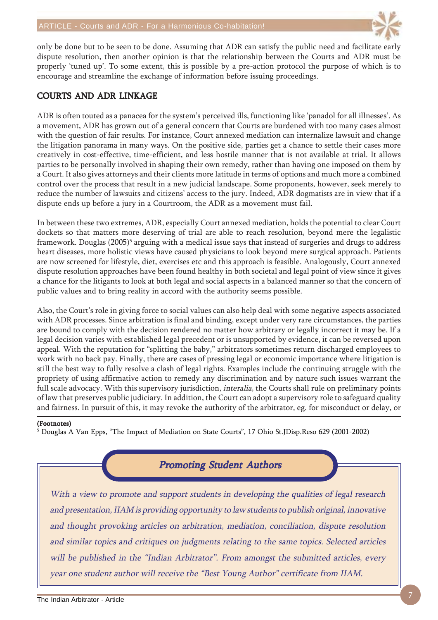

only be done but to be seen to be done. Assuming that ADR can satisfy the public need and facilitate early dispute resolution, then another opinion is that the relationship between the Courts and ADR must be properly 'tuned up'. To some extent, this is possible by a pre-action protocol the purpose of which is to encourage and streamline the exchange of information before issuing proceedings.

#### COURTS AND ADR LINKAGE

ADR is often touted as a panacea for the system's perceived ills, functioning like 'panadol for all illnesses'. As a movement, ADR has grown out of a general concern that Courts are burdened with too many cases almost with the question of fair results. For instance, Court annexed mediation can internalize lawsuit and change the litigation panorama in many ways. On the positive side, parties get a chance to settle their cases more creatively in cost-effective, time-efficient, and less hostile manner that is not available at trial. It allows parties to be personally involved in shaping their own remedy, rather than having one imposed on them by a Court. It also gives attorneys and their clients more latitude in terms of options and much more a combined control over the process that result in a new judicial landscape. Some proponents, however, seek merely to reduce the number of lawsuits and citizens' access to the jury. Indeed, ADR dogmatists are in view that if a dispute ends up before a jury in a Courtroom, the ADR as a movement must fail.

In between these two extremes, ADR, especially Court annexed mediation, holds the potential to clear Court dockets so that matters more deserving of trial are able to reach resolution, beyond mere the legalistic framework. Douglas (2005)<sup>5</sup> arguing with a medical issue says that instead of surgeries and drugs to address heart diseases, more holistic views have caused physicians to look beyond mere surgical approach. Patients are now screened for lifestyle, diet, exercises etc and this approach is feasible. Analogously, Court annexed dispute resolution approaches have been found healthy in both societal and legal point of view since it gives a chance for the litigants to look at both legal and social aspects in a balanced manner so that the concern of public values and to bring reality in accord with the authority seems possible.

Also, the Court's role in giving force to social values can also help deal with some negative aspects associated with ADR processes. Since arbitration is final and binding, except under very rare circumstances, the parties are bound to comply with the decision rendered no matter how arbitrary or legally incorrect it may be. If a legal decision varies with established legal precedent or is unsupported by evidence, it can be reversed upon appeal. With the reputation for "splitting the baby," arbitrators sometimes return discharged employees to work with no back pay. Finally, there are cases of pressing legal or economic importance where litigation is still the best way to fully resolve a clash of legal rights. Examples include the continuing struggle with the propriety of using affirmative action to remedy any discrimination and by nature such issues warrant the full scale advocacy. With this supervisory jurisdiction, interalia, the Courts shall rule on preliminary points of law that preserves public judiciary. In addition, the Court can adopt a supervisory role to safeguard quality and fairness. In pursuit of this, it may revoke the authority of the arbitrator, eg. for misconduct or delay, or

#### (Footnotes)

5 Douglas A Van Epps, "The Impact of Mediation on State Courts", 17 Ohio St.JDisp.Reso 629 (2001-2002)

### Promoting Student Authors

With a view to promote and support students in developing the qualities of legal research and presentation, IIAM is providing opportunity to law students to publish original, innovative and thought provoking articles on arbitration, mediation, conciliation, dispute resolution and similar topics and critiques on judgments relating to the same topics. Selected articles will be published in the "Indian Arbitrator". From amongst the submitted articles, every year one student author will receive the "Best Young Author" certificate from IIAM.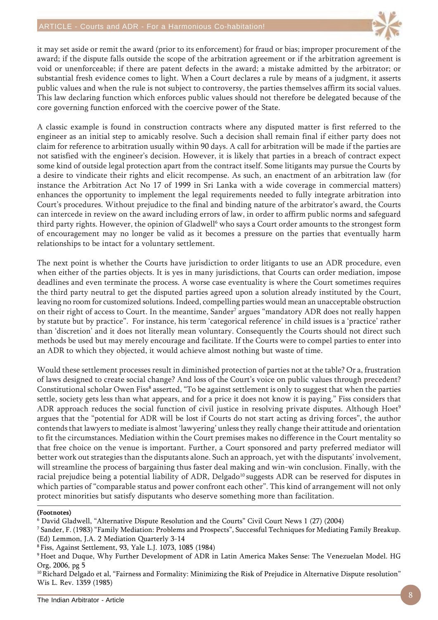

it may set aside or remit the award (prior to its enforcement) for fraud or bias; improper procurement of the award; if the dispute falls outside the scope of the arbitration agreement or if the arbitration agreement is void or unenforceable; if there are patent defects in the award; a mistake admitted by the arbitrator; or substantial fresh evidence comes to light. When a Court declares a rule by means of a judgment, it asserts public values and when the rule is not subject to controversy, the parties themselves affirm its social values. This law declaring function which enforces public values should not therefore be delegated because of the core governing function enforced with the coercive power of the State.

A classic example is found in construction contracts where any disputed matter is first referred to the engineer as an initial step to amicably resolve. Such a decision shall remain final if either party does not claim for reference to arbitration usually within 90 days. A call for arbitration will be made if the parties are not satisfied with the engineer's decision. However, it is likely that parties in a breach of contract expect some kind of outside legal protection apart from the contract itself. Some litigants may pursue the Courts by a desire to vindicate their rights and elicit recompense. As such, an enactment of an arbitration law (for instance the Arbitration Act No 17 of 1999 in Sri Lanka with a wide coverage in commercial matters) enhances the opportunity to implement the legal requirements needed to fully integrate arbitration into Court's procedures. Without prejudice to the final and binding nature of the arbitrator's award, the Courts can intercede in review on the award including errors of law, in order to affirm public norms and safeguard third party rights. However, the opinion of Gladwell<sup>6</sup> who says a Court order amounts to the strongest form of encouragement may no longer be valid as it becomes a pressure on the parties that eventually harm relationships to be intact for a voluntary settlement.

The next point is whether the Courts have jurisdiction to order litigants to use an ADR procedure, even when either of the parties objects. It is yes in many jurisdictions, that Courts can order mediation, impose deadlines and even terminate the process. A worse case eventuality is where the Court sometimes requires the third party neutral to get the disputed parties agreed upon a solution already instituted by the Court, leaving no room for customized solutions. Indeed, compelling parties would mean an unacceptable obstruction on their right of access to Court. In the meantime, Sander<sup>7</sup> argues "mandatory ADR does not really happen by statute but by practice". For instance, his term 'categorical reference' in child issues is a 'practice' rather than 'discretion' and it does not literally mean voluntary. Consequently the Courts should not direct such methods be used but may merely encourage and facilitate. If the Courts were to compel parties to enter into an ADR to which they objected, it would achieve almost nothing but waste of time.

Would these settlement processes result in diminished protection of parties not at the table? Or a, frustration of laws designed to create social change? And loss of the Court's voice on public values through precedent? Constitutional scholar Owen Fiss<sup>8</sup> asserted, "To be against settlement is only to suggest that when the parties settle, society gets less than what appears, and for a price it does not know it is paying." Fiss considers that ADR approach reduces the social function of civil justice in resolving private disputes. Although Hoet<sup>9</sup> argues that the "potential for ADR will be lost if Courts do not start acting as driving forces", the author contends that lawyers to mediate is almost 'lawyering' unless they really change their attitude and orientation to fit the circumstances. Mediation within the Court premises makes no difference in the Court mentality so that free choice on the venue is important. Further, a Court sponsored and party preferred mediator will better work out strategies than the disputants alone. Such an approach, yet with the disputants' involvement, will streamline the process of bargaining thus faster deal making and win-win conclusion. Finally, with the racial prejudice being a potential liability of ADR, Delgado<sup>10</sup> suggests ADR can be reserved for disputes in which parties of "comparable status and power confront each other". This kind of arrangement will not only protect minorities but satisfy disputants who deserve something more than facilitation.

#### (Footnotes)

6 David Gladwell, "Alternative Dispute Resolution and the Courts" Civil Court News 1 (27) (2004)

8 Fiss, Against Settlement, 93, Yale L.J. 1073, 1085 (1984)

<sup>7</sup> Sander, F. (1983) "Family Mediation: Problems and Prospects", Successful Techniques for Mediating Family Breakup. (Ed) Lemmon, J.A. 2 Mediation Quarterly 3-14

<sup>9</sup> Hoet and Duque, Why Further Development of ADR in Latin America Makes Sense: The Venezuelan Model. HG Org, 2006, pg 5

<sup>&</sup>lt;sup>10</sup> Richard Delgado et al, "Fairness and Formality: Minimizing the Risk of Prejudice in Alternative Dispute resolution" Wis L. Rev. 1359 (1985)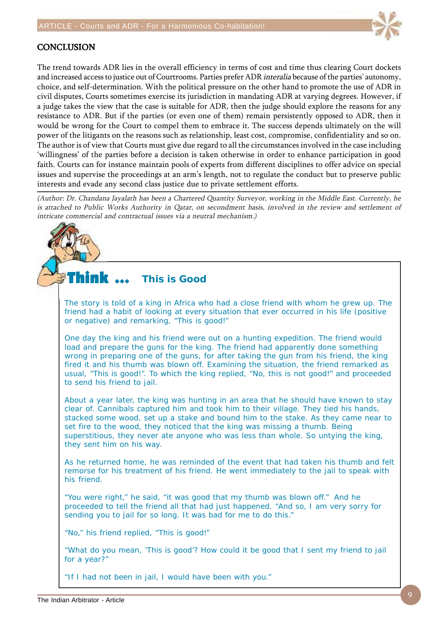

### **CONCLUSION**

The trend towards ADR lies in the overall efficiency in terms of cost and time thus clearing Court dockets and increased access to justice out of Courtrooms. Parties prefer ADR interalia because of the parties' autonomy, choice, and self-determination. With the political pressure on the other hand to promote the use of ADR in civil disputes, Courts sometimes exercise its jurisdiction in mandating ADR at varying degrees. However, if a judge takes the view that the case is suitable for ADR, then the judge should explore the reasons for any resistance to ADR. But if the parties (or even one of them) remain persistently opposed to ADR, then it would be wrong for the Court to compel them to embrace it. The success depends ultimately on the will power of the litigants on the reasons such as relationship, least cost, compromise, confidentiality and so on. The author is of view that Courts must give due regard to all the circumstances involved in the case including 'willingness' of the parties before a decision is taken otherwise in order to enhance participation in good faith. Courts can for instance maintain pools of experts from different disciplines to offer advice on special issues and supervise the proceedings at an arm's length, not to regulate the conduct but to preserve public interests and evade any second class justice due to private settlement efforts.

(Author: Dr. Chandana Jayalath has been a Chartered Quantity Surveyor, working in the Middle East. Currently, he is attached to Public Works Authority in Qatar, on secondment basis, involved in the review and settlement of intricate commercial and contractual issues via a neutral mechanism.)

#### Think  $\ldots$ **This is Good**

The story is told of a king in Africa who had a close friend with whom he grew up. The friend had a habit of looking at every situation that ever occurred in his life (positive or negative) and remarking, "This is good!"

One day the king and his friend were out on a hunting expedition. The friend would load and prepare the guns for the king. The friend had apparently done something wrong in preparing one of the guns, for after taking the gun from his friend, the king fired it and his thumb was blown off. Examining the situation, the friend remarked as usual, "This is good!". To which the king replied, "No, this is not good!" and proceeded to send his friend to jail.

About a year later, the king was hunting in an area that he should have known to stay clear of. Cannibals captured him and took him to their village. They tied his hands, stacked some wood, set up a stake and bound him to the stake. As they came near to set fire to the wood, they noticed that the king was missing a thumb. Being superstitious, they never ate anyone who was less than whole. So untying the king, they sent him on his way.

As he returned home, he was reminded of the event that had taken his thumb and felt remorse for his treatment of his friend. He went immediately to the jail to speak with his friend.

"You were right," he said, "it was good that my thumb was blown off." And he proceeded to tell the friend all that had just happened. "And so, I am very sorry for sending you to jail for so long. It was bad for me to do this."

"No," his friend replied, "This is good!"

"What do you mean, 'This is good'? How could it be good that I sent my friend to jail for a year?"

"If I had not been in jail, I would have been with you."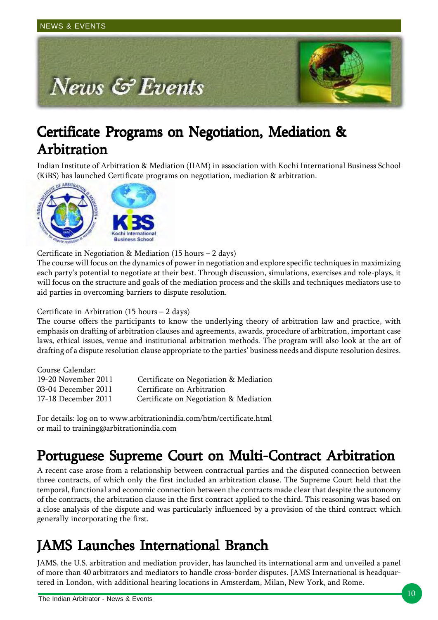

## Certificate Programs on Negotiation, Mediation & Arbitration

Indian Institute of Arbitration & Mediation (IIAM) in association with Kochi International Business School (KiBS) has launched Certificate programs on negotiation, mediation & arbitration.



Certificate in Negotiation & Mediation (15 hours – 2 days)

The course will focus on the dynamics of power in negotiation and explore specific techniques in maximizing each party's potential to negotiate at their best. Through discussion, simulations, exercises and role-plays, it will focus on the structure and goals of the mediation process and the skills and techniques mediators use to aid parties in overcoming barriers to dispute resolution.

### Certificate in Arbitration (15 hours – 2 days)

The course offers the participants to know the underlying theory of arbitration law and practice, with emphasis on drafting of arbitration clauses and agreements, awards, procedure of arbitration, important case laws, ethical issues, venue and institutional arbitration methods. The program will also look at the art of drafting of a dispute resolution clause appropriate to the parties' business needs and dispute resolution desires.

| Certificate on Negotiation & Mediation |
|----------------------------------------|
| Certificate on Arbitration             |
| Certificate on Negotiation & Mediation |
|                                        |

For details: log on to www.arbitrationindia.com/htm/certificate.html or mail to training@arbitrationindia.com

## Portuguese Supreme Court on Multi-Contract Arbitration

A recent case arose from a relationship between contractual parties and the disputed connection between three contracts, of which only the first included an arbitration clause. The Supreme Court held that the temporal, functional and economic connection between the contracts made clear that despite the autonomy of the contracts, the arbitration clause in the first contract applied to the third. This reasoning was based on a close analysis of the dispute and was particularly influenced by a provision of the third contract which generally incorporating the first.

## JAMS Launches International Branch

JAMS, the U.S. arbitration and mediation provider, has launched its international arm and unveiled a panel of more than 40 arbitrators and mediators to handle cross-border disputes. JAMS International is headquartered in London, with additional hearing locations in Amsterdam, Milan, New York, and Rome.